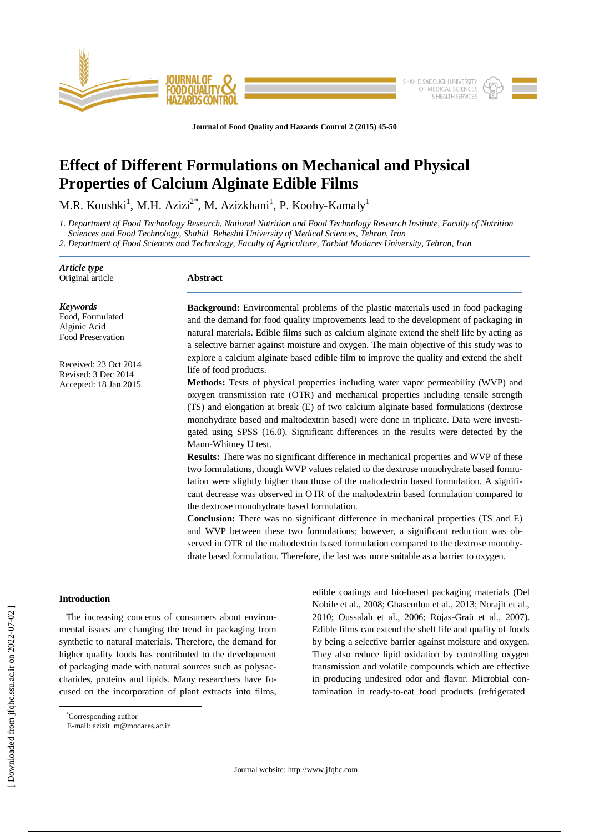

**Journal of Food Quality and Hazards Control 2 (2015) 45-50**

# **Effect of Different Formulations on Mechanical and Physical Properties of Calcium Alginate Edible Films**

M.R. Koushki<sup>1</sup>, M.H. Azizi<sup>2\*</sup>, M. Azizkhani<sup>1</sup>, P. Koohy-Kamaly<sup>1</sup>

*1. Department of Food Technology Research, National Nutrition and Food Technology Research Institute, Faculty of Nutrition Sciences and Food Technology, Shahid Beheshti University of Medical Sciences, Tehran, Iran*

*2. Department of Food Sciences and Technology, Faculty of Agriculture, Tarbiat Modares University, Tehran, Iran*

| Abstract                                                                                                                                                                                                                                                                                                                                                                                                                                                                    |  |  |  |  |
|-----------------------------------------------------------------------------------------------------------------------------------------------------------------------------------------------------------------------------------------------------------------------------------------------------------------------------------------------------------------------------------------------------------------------------------------------------------------------------|--|--|--|--|
| <b>Background:</b> Environmental problems of the plastic materials used in food packaging<br>and the demand for food quality improvements lead to the development of packaging in<br>natural materials. Edible films such as calcium alginate extend the shelf life by acting as<br>a selective barrier against moisture and oxygen. The main objective of this study was to                                                                                                |  |  |  |  |
| explore a calcium alginate based edible film to improve the quality and extend the shelf<br>life of food products.                                                                                                                                                                                                                                                                                                                                                          |  |  |  |  |
| Methods: Tests of physical properties including water vapor permeability (WVP) and<br>oxygen transmission rate (OTR) and mechanical properties including tensile strength<br>(TS) and elongation at break (E) of two calcium alginate based formulations (dextrose<br>monohydrate based and maltodextrin based) were done in triplicate. Data were investi-<br>gated using SPSS (16.0). Significant differences in the results were detected by the<br>Mann-Whitney U test. |  |  |  |  |
| <b>Results:</b> There was no significant difference in mechanical properties and WVP of these<br>two formulations, though WVP values related to the dextrose monohydrate based formu-<br>lation were slightly higher than those of the maltodextrin based formulation. A signifi-<br>cant decrease was observed in OTR of the maltodextrin based formulation compared to<br>the dextrose monohydrate based formulation.                                                     |  |  |  |  |
| Conclusion: There was no significant difference in mechanical properties (TS and E)<br>and WVP between these two formulations; however, a significant reduction was ob-<br>served in OTR of the maltodextrin based formulation compared to the dextrose monohy-<br>drate based formulation. Therefore, the last was more suitable as a barrier to oxygen.                                                                                                                   |  |  |  |  |
|                                                                                                                                                                                                                                                                                                                                                                                                                                                                             |  |  |  |  |

# **Introduction**

 $\overline{\phantom{a}}$ 

The increasing concerns of consumers about environmental issues are changing the trend in packaging from synthetic to natural materials. Therefore, the demand for higher quality foods has contributed to the development of packaging made with natural sources such as polysaccharides, proteins and lipids. Many researchers have focused on the incorporation of plant extracts into films, edible coatings and bio-based packaging materials (Del Nobile et al., 2008; Ghasemlou et al., 2013; Norajit et al., 2010; Oussalah et al., 2006; Rojas-Graü et al., 2007). Edible films can extend the shelf life and quality of foods by being a selective barrier against moisture and oxygen. They also reduce lipid oxidation by controlling oxygen transmission and volatile compounds which are effective in producing undesired odor and flavor. Microbial contamination in ready-to-eat food products (refrigerated

<sup>\*</sup>Corresponding author

E-mail: [azizit\\_m@modares.ac.ir](mailto:azizit_m@modares.ac.ir)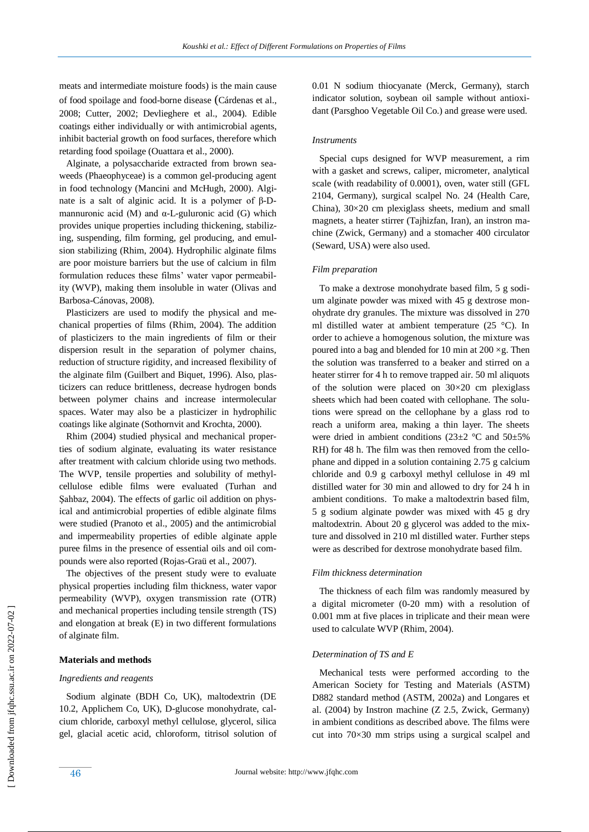meats and intermediate moisture foods) is the main cause of food spoilage and food-borne disease (Cárdenas et al., 2008; Cutter, 2002; Devlieghere et al., 2004). Edible coatings either individually or with antimicrobial agents, inhibit bacterial growth on food surfaces, therefore which retarding food spoilage (Ouattara et al., 2000).

 Alginate, a polysaccharide extracted from brown seaweeds (Phaeophyceae) is a common gel-producing agent in food technology (Mancini and McHugh, 2000). Alginate is a salt of alginic acid. It is a polymer of β-Dmannuronic acid  $(M)$  and  $\alpha$ -L-guluronic acid  $(G)$  which provides unique properties including thickening, stabilizing, suspending, film forming, gel producing, and emulsion stabilizing (Rhim, 2004). Hydrophilic alginate films are poor moisture barriers but the use of calcium in film formulation reduces these films' water vapor permeability (WVP), making them insoluble in water (Olivas and Barbosa-Cánovas, 2008).

 Plasticizers are used to modify the physical and mechanical properties of films (Rhim, 2004). The addition of plasticizers to the main ingredients of film or their dispersion result in the separation of polymer chains, reduction of structure rigidity, and increased flexibility of the alginate film (Guilbert and Biquet, 1996). Also, plasticizers can reduce brittleness, decrease hydrogen bonds between polymer chains and increase intermolecular spaces. Water may also be a plasticizer in hydrophilic coatings like alginate (Sothornvit and Krochta, 2000).

 Rhim (2004) studied physical and mechanical properties of sodium alginate, evaluating its water resistance after treatment with calcium chloride using two methods. The WVP, tensile properties and solubility of methylcellulose edible films were evaluated (Turhan and Şahbaz, 2004). The effects of garlic oil addition on physical and antimicrobial properties of edible alginate films were studied (Pranoto et al., 2005) and the antimicrobial and impermeability properties of edible alginate apple puree films in the presence of essential oils and oil compounds were also reported (Rojas-Graü et al., 2007).

 The objectives of the present study were to evaluate physical properties including film thickness, water vapor permeability (WVP), oxygen transmission rate (OTR) and mechanical properties including tensile strength (TS) and elongation at break (E) in two different formulations of alginate film.

### **Materials and methods**

#### *Ingredients and reagents*

 Sodium alginate (BDH Co, UK), maltodextrin (DE 10.2, Applichem Co, UK), D-glucose monohydrate, calcium chloride, carboxyl methyl cellulose, glycerol, silica gel, glacial acetic acid, chloroform, titrisol solution of 0.01 N sodium thiocyanate (Merck, Germany), starch indicator solution, soybean oil sample without antioxidant (Parsghoo Vegetable Oil Co.) and grease were used.

#### *Instruments*

 Special cups designed for WVP measurement, a rim with a gasket and screws, caliper, micrometer, analytical scale (with readability of 0.0001), oven, water still (GFL 2104, Germany), surgical scalpel No. 24 (Health Care, China), 30×20 cm plexiglass sheets, medium and small magnets, a heater stirrer (Tajhizfan, Iran), an instron machine (Zwick, Germany) and a stomacher 400 circulator (Seward, USA) were also used.

# *Film preparation*

 To make a dextrose monohydrate based film, 5 g sodium alginate powder was mixed with 45 g dextrose monohydrate dry granules. The mixture was dissolved in 270 ml distilled water at ambient temperature (25 °C). In order to achieve a homogenous solution, the mixture was poured into a bag and blended for 10 min at  $200 \times g$ . Then the solution was transferred to a beaker and stirred on a heater stirrer for 4 h to remove trapped air. 50 ml aliquots of the solution were placed on  $30\times20$  cm plexiglass sheets which had been coated with cellophane. The solutions were spread on the cellophane by a glass rod to reach a uniform area, making a thin layer. The sheets were dried in ambient conditions ( $23\pm2$  °C and  $50\pm5\%$ RH) for 48 h. The film was then removed from the cellophane and dipped in a solution containing 2.75 g calcium chloride and 0.9 g carboxyl methyl cellulose in 49 ml distilled water for 30 min and allowed to dry for 24 h in ambient conditions. To make a maltodextrin based film, 5 g sodium alginate powder was mixed with 45 g dry maltodextrin. About 20 g glycerol was added to the mixture and dissolved in 210 ml distilled water. Further steps were as described for dextrose monohydrate based film.

#### *Film thickness determination*

 The thickness of each film was randomly measured by a digital micrometer (0-20 mm) with a resolution of 0.001 mm at five places in triplicate and their mean were used to calculate WVP (Rhim, 2004).

#### *Determination of TS and E*

 Mechanical tests were performed according to the American Society for Testing and Materials (ASTM) D882 standard method (ASTM, 2002a) and Longares et al. (2004) by Instron machine (Z 2.5, Zwick, Germany) in ambient conditions as described above. The films were cut into 70×30 mm strips using a surgical scalpel and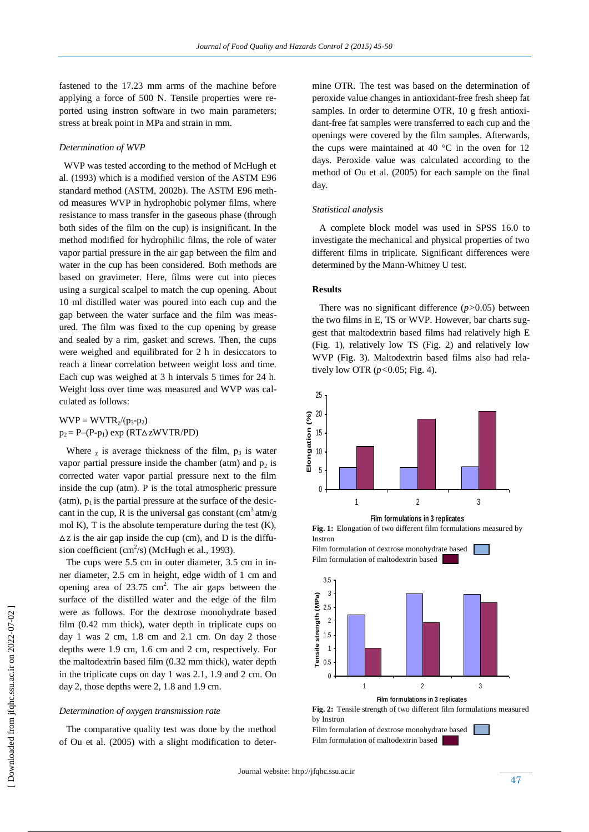fastened to the 17.23 mm arms of the machine before applying a force of 500 N. Tensile properties were reported using instron software in two main parameters; stress at break point in MPa and strain in mm.

# *Determination of WVP*

 WVP was tested according to the method of McHugh et al. (1993) which is a modified version of the ASTM E96 standard method (ASTM, 2002b). The ASTM E96 method measures WVP in hydrophobic polymer films, where resistance to mass transfer in the gaseous phase (through both sides of the film on the cup) is insignificant. In the method modified for hydrophilic films, the role of water vapor partial pressure in the air gap between the film and water in the cup has been considered. Both methods are based on gravimeter. Here, films were cut into pieces using a surgical scalpel to match the cup opening. About 10 ml distilled water was poured into each cup and the gap between the water surface and the film was measured. The film was fixed to the cup opening by grease and sealed by a rim, gasket and screws. Then, the cups were weighed and equilibrated for 2 h in desiccators to reach a linear correlation between weight loss and time. Each cup was weighed at 3 h intervals 5 times for 24 h. Weight loss over time was measured and WVP was calculated as follows:

 $WVP = WVTR_{\gamma}/(p_3-p_2)$  $p_2 = P-(P-p_1) \exp (RT\Delta zWVTR/PD)$ 

Where  $\chi$  is average thickness of the film,  $p_3$  is water vapor partial pressure inside the chamber (atm) and  $p_2$  is corrected water vapor partial pressure next to the film inside the cup (atm). P is the total atmospheric pressure (atm),  $p_1$  is the partial pressure at the surface of the desiccant in the cup, R is the universal gas constant  $\left(\text{cm}^3 \text{ atm/g}\right)$ mol K), T is the absolute temperature during the test  $(K)$ ,  $\Delta z$  is the air gap inside the cup (cm), and D is the diffusion coefficient (cm<sup>2</sup>/s) (McHugh et al., 1993).

 The cups were 5.5 cm in outer diameter, 3.5 cm in inner diameter, 2.5 cm in height, edge width of 1 cm and opening area of  $23.75 \text{ cm}^2$ . The air gaps between the surface of the distilled water and the edge of the film were as follows. For the dextrose monohydrate based film (0.42 mm thick), water depth in triplicate cups on day 1 was 2 cm, 1.8 cm and 2.1 cm. On day 2 those depths were 1.9 cm, 1.6 cm and 2 cm, respectively. For the maltodextrin based film (0.32 mm thick), water depth in the triplicate cups on day 1 was 2.1, 1.9 and 2 cm. On day 2, those depths were 2, 1.8 and 1.9 cm.

## *Determination of oxygen transmission rate*

 The comparative quality test was done by the method of Ou et al. (2005) with a slight modification to determine OTR. The test was based on the determination of peroxide value changes in antioxidant-free fresh sheep fat samples. In order to determine OTR, 10 g fresh antioxidant-free fat samples were transferred to each cup and the openings were covered by the film samples. Afterwards, the cups were maintained at 40  $^{\circ}$ C in the oven for 12 days. Peroxide value was calculated according to the method of Ou et al. (2005) for each sample on the final day.

# *Statistical analysis*

 A complete block model was used in SPSS 16.0 to investigate the mechanical and physical properties of two different films in triplicate. Significant differences were determined by the Mann-Whitney U test.

## **Results**

 There was no significant difference (*p>*0.05) between the two films in E, TS or WVP. However, bar charts suggest that maltodextrin based films had relatively high E (Fig. 1), relatively low TS (Fig. 2) and relatively low WVP (Fig. 3). Maltodextrin based films also had relatively low OTR (*p<*0.05; Fig. 4).



**Film formulations in 3 replicates**

**Fig. 1:** Elongation of two different film formulations measured by Instron





**Fig. 2:** Tensile strength of two different film formulations measured by Instron

Film formulation of dextrose monohydrate based Film formulation of maltodextrin based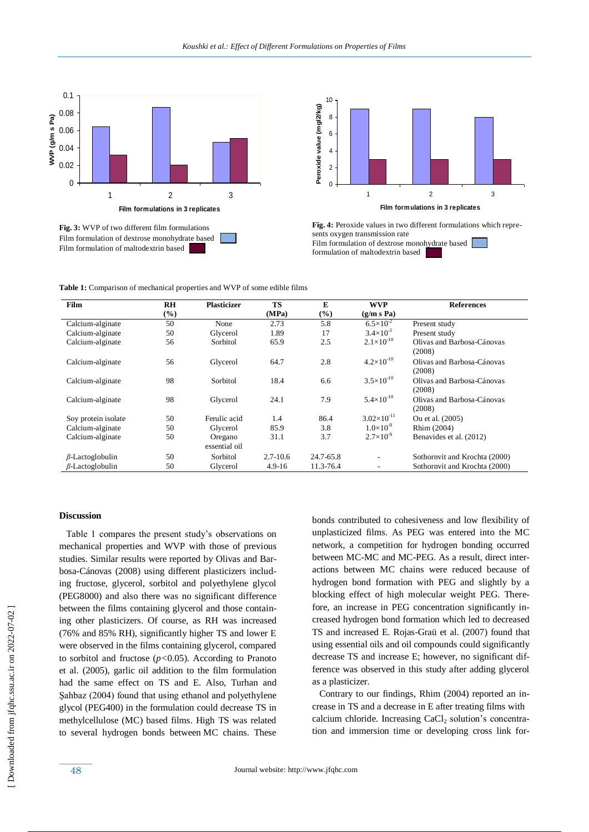

**Fig. 3:** WVP of two different film formulations Film formulation of dextrose monohydrate based Film formulation of maltodextrin based



**Fig. 4:** Peroxide values in two different formulations which represents oxygen transmission rate Film formulation of dextrose monohydrate based formulation of maltodextrin based

**Table 1:** Comparison of mechanical properties and WVP of some edible films

| Film                   | R <sub>H</sub> | <b>Plasticizer</b> | <b>TS</b>    | E         | <b>WVP</b>               | <b>References</b>             |
|------------------------|----------------|--------------------|--------------|-----------|--------------------------|-------------------------------|
|                        | $(\%)$         |                    | (MPa)        | $(\%)$    | (g/m s Pa)               |                               |
| Calcium-alginate       | 50             | None               | 2.73         | 5.8       | $6.5 \times 10^{-2}$     | Present study                 |
| Calcium-alginate       | 50             | Glycerol           | 1.89         | 17        | $3.4\times10^{-2}$       | Present study                 |
| Calcium-alginate       | 56             | Sorbitol           | 65.9         | 2.5       | $2.1\times10^{-10}$      | Olivas and Barbosa-Cánovas    |
|                        |                |                    |              |           |                          | (2008)                        |
| Calcium-alginate       | 56             | Glycerol           | 64.7         | 2.8       | $4.2\times10^{-10}$      | Olivas and Barbosa-Cánovas    |
|                        |                |                    |              |           |                          | (2008)                        |
| Calcium-alginate       | 98             | Sorbitol           | 18.4         | 6.6       | $3.5 \times 10^{-10}$    | Olivas and Barbosa-Cánovas    |
|                        |                |                    |              |           |                          | (2008)                        |
| Calcium-alginate       | 98             | Glycerol           | 24.1         | 7.9       | $5.4\times10^{-10}$      | Olivas and Barbosa-Cánovas    |
|                        |                |                    |              |           |                          | (2008)                        |
| Soy protein isolate    | 50             | Ferulic acid       | 1.4          | 86.4      | $3.02\times10^{-11}$     | Ou et al. (2005)              |
| Calcium-alginate       | 50             | Glycerol           | 85.9         | 3.8       | $1.0\times10^{-9}$       | Rhim (2004)                   |
| Calcium-alginate       | 50             | Oregano            | 31.1         | 3.7       | $2.7\times10^{-9}$       | Benavides et al. (2012)       |
|                        |                | essential oil      |              |           |                          |                               |
| $\beta$ -Lactoglobulin | 50             | Sorbitol           | $2.7 - 10.6$ | 24.7-65.8 | $\overline{\phantom{a}}$ | Sothornvit and Krochta (2000) |
| $\beta$ -Lactoglobulin | 50             | Glycerol           | $4.9 - 16$   | 11.3-76.4 | $\overline{\phantom{a}}$ | Sothornvit and Krochta (2000) |

#### **Discussion**

 Table 1 compares the present study's observations on mechanical properties and WVP with those of previous studies. Similar results were reported by Olivas and Barbosa-Cánovas (2008) using different plasticizers including fructose, glycerol, sorbitol and polyethylene glycol (PEG8000) and also there was no significant difference between the films containing glycerol and those containing other plasticizers. Of course, as RH was increased (76% and 85% RH), significantly higher TS and lower E were observed in the films containing glycerol, compared to sorbitol and fructose (*p<*0.05). According to Pranoto et al. (2005), garlic oil addition to the film formulation had the same effect on TS and E. Also, Turhan and Şahbaz (2004) found that using ethanol and polyethylene glycol (PEG400) in the formulation could decrease TS in methylcellulose (MC) based films. High TS was related to several hydrogen bonds between MC chains. These bonds contributed to cohesiveness and low flexibility of unplasticized films. As PEG was entered into the MC network, a competition for hydrogen bonding occurred between MC-MC and MC-PEG. As a result, direct interactions between MC chains were reduced because of hydrogen bond formation with PEG and slightly by a blocking effect of high molecular weight PEG. Therefore, an increase in PEG concentration significantly increased hydrogen bond formation which led to decreased TS and increased E. Rojas-Graü et al. (2007) found that using essential oils and oil compounds could significantly decrease TS and increase E; however, no significant difference was observed in this study after adding glycerol as a plasticizer.

 Contrary to our findings, Rhim (2004) reported an increase in TS and a decrease in E after treating films with calcium chloride. Increasing  $CaCl<sub>2</sub>$  solution's concentration and immersion time or developing cross link for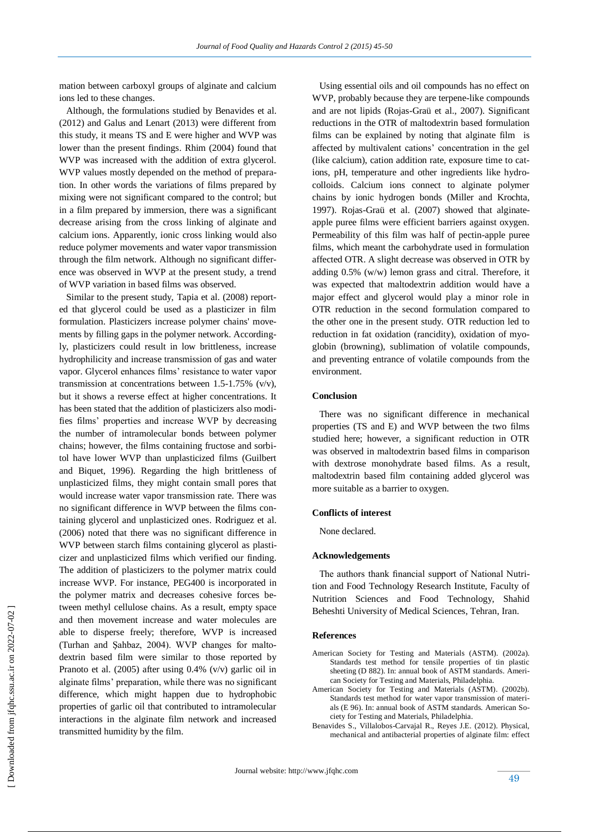mation between carboxyl groups of alginate and calcium ions led to these changes.

 Although, the formulations studied by Benavides et al. (2012) and Galus and Lenart (2013) were different from this study, it means TS and E were higher and WVP was lower than the present findings. Rhim (2004) found that WVP was increased with the addition of extra glycerol. WVP values mostly depended on the method of preparation. In other words the variations of films prepared by mixing were not significant compared to the control; but in a film prepared by immersion, there was a significant decrease arising from the cross linking of alginate and calcium ions. Apparently, ionic cross linking would also reduce polymer movements and water vapor transmission through the film network. Although no significant difference was observed in WVP at the present study, a trend of WVP variation in based films was observed.

 Similar to the present study, Tapia et al. (2008) reported that glycerol could be used as a plasticizer in film formulation. Plasticizers increase polymer chains' movements by filling gaps in the polymer network. Accordingly, plasticizers could result in low brittleness, increase hydrophilicity and increase transmission of gas and water vapor. Glycerol enhances films' resistance to water vapor transmission at concentrations between 1.5-1.75% (v/v), but it shows a reverse effect at higher concentrations. It has been stated that the addition of plasticizers also modifies films' properties and increase WVP by decreasing the number of intramolecular bonds between polymer chains; however, the films containing fructose and sorbitol have lower WVP than unplasticized films (Guilbert and Biquet, 1996). Regarding the high brittleness of unplasticized films, they might contain small pores that would increase water vapor transmission rate. There was no significant difference in WVP between the films containing glycerol and unplasticized ones. Rodriguez et al. (2006) noted that there was no significant difference in WVP between starch films containing glycerol as plasticizer and unplasticized films which verified our finding. The addition of plasticizers to the polymer matrix could increase WVP. For instance, PEG400 is incorporated in the polymer matrix and decreases cohesive forces between methyl cellulose chains. As a result, empty space and then movement increase and water molecules are able to disperse freely; therefore, WVP is increased (Turhan and Şahbaz, 2004). WVP changes for maltodextrin based film were similar to those reported by Pranoto et al. (2005) after using 0.4% (v/v) garlic oil in alginate films' preparation, while there was no significant difference, which might happen due to hydrophobic properties of garlic oil that contributed to intramolecular interactions in the alginate film network and increased transmitted humidity by the film.

 Using essential oils and oil compounds has no effect on WVP, probably because they are terpene-like compounds and are not lipids (Rojas-Graü et al., 2007). Significant reductions in the OTR of maltodextrin based formulation films can be explained by noting that alginate film is affected by multivalent cations' concentration in the gel (like calcium), cation addition rate, exposure time to cations, pH, temperature and other ingredients like hydrocolloids. Calcium ions connect to alginate polymer chains by ionic hydrogen bonds (Miller and Krochta, 1997). Rojas-Graü et al. (2007) showed that alginateapple puree films were efficient barriers against oxygen. Permeability of this film was half of pectin-apple puree films, which meant the carbohydrate used in formulation affected OTR. A slight decrease was observed in OTR by adding 0.5% (w/w) lemon grass and citral. Therefore, it was expected that maltodextrin addition would have a major effect and glycerol would play a minor role in OTR reduction in the second formulation compared to the other one in the present study. OTR reduction led to reduction in fat oxidation (rancidity), oxidation of myoglobin (browning), sublimation of volatile compounds, and preventing entrance of volatile compounds from the environment.

#### **Conclusion**

 There was no significant difference in mechanical properties (TS and E) and WVP between the two films studied here; however, a significant reduction in OTR was observed in maltodextrin based films in comparison with dextrose monohydrate based films. As a result, maltodextrin based film containing added glycerol was more suitable as a barrier to oxygen.

#### **Conflicts of interest**

None declared.

#### **Acknowledgements**

 The authors thank financial support of National Nutrition and Food Technology Research Institute, Faculty of Nutrition Sciences and Food Technology, Shahid Beheshti University of Medical Sciences, Tehran, Iran.

#### **References**

- American Society for Testing and Materials (ASTM). (2002a). Standards test method for tensile properties of tin plastic sheeting (D 882). In: annual book of ASTM standards. American Society for Testing and Materials, Philadelphia.
- American Society for Testing and Materials (ASTM). (2002b). Standards test method for water vapor transmission of materials (E 96). In: annual book of ASTM standards. American Society for Testing and Materials, Philadelphia.
- Benavides S., Villalobos-Carvajal R., Reyes J.E. (2012). Physical, mechanical and antibacterial properties of alginate film: effect